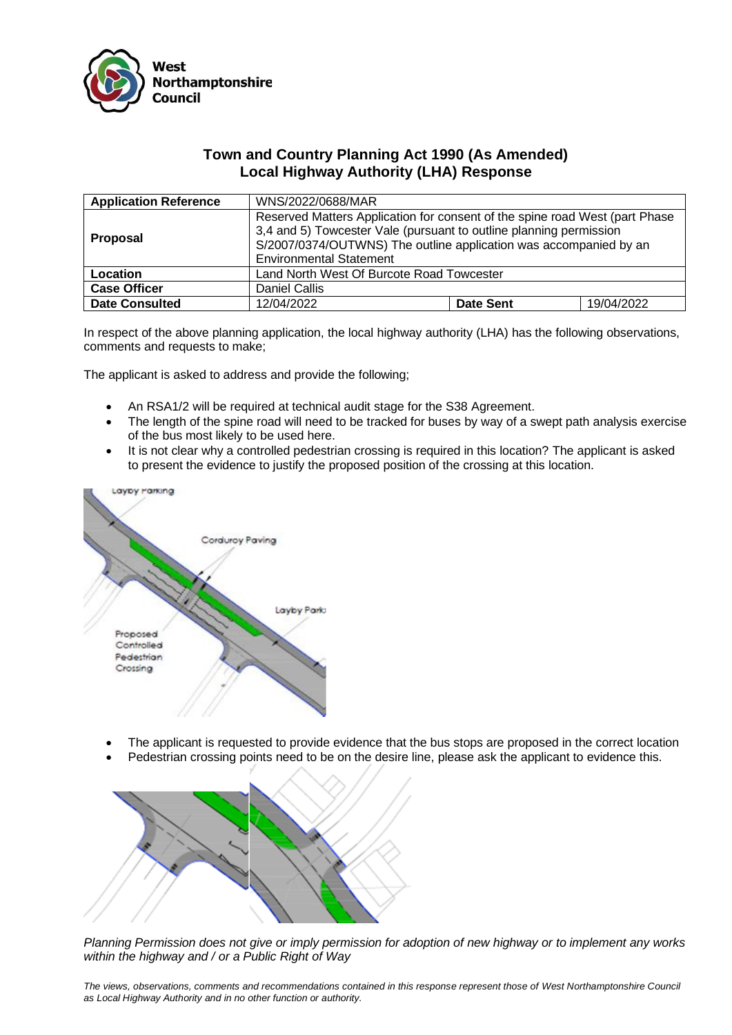

## **Town and Country Planning Act 1990 (As Amended) Local Highway Authority (LHA) Response**

| <b>Application Reference</b> | WNS/2022/0688/MAR                                                                                                                                                                                                                                        |                  |            |
|------------------------------|----------------------------------------------------------------------------------------------------------------------------------------------------------------------------------------------------------------------------------------------------------|------------------|------------|
| <b>Proposal</b>              | Reserved Matters Application for consent of the spine road West (part Phase<br>3,4 and 5) Towcester Vale (pursuant to outline planning permission<br>S/2007/0374/OUTWNS) The outline application was accompanied by an<br><b>Environmental Statement</b> |                  |            |
| Location                     | Land North West Of Burcote Road Towcester                                                                                                                                                                                                                |                  |            |
| <b>Case Officer</b>          | Daniel Callis                                                                                                                                                                                                                                            |                  |            |
| <b>Date Consulted</b>        | 12/04/2022                                                                                                                                                                                                                                               | <b>Date Sent</b> | 19/04/2022 |

In respect of the above planning application, the local highway authority (LHA) has the following observations, comments and requests to make;

The applicant is asked to address and provide the following;

- An RSA1/2 will be required at technical audit stage for the S38 Agreement.
- The length of the spine road will need to be tracked for buses by way of a swept path analysis exercise of the bus most likely to be used here.
- It is not clear why a controlled pedestrian crossing is required in this location? The applicant is asked to present the evidence to justify the proposed position of the crossing at this location.



- The applicant is requested to provide evidence that the bus stops are proposed in the correct location
- Pedestrian crossing points need to be on the desire line, please ask the applicant to evidence this.



*Planning Permission does not give or imply permission for adoption of new highway or to implement any works within the highway and / or a Public Right of Way*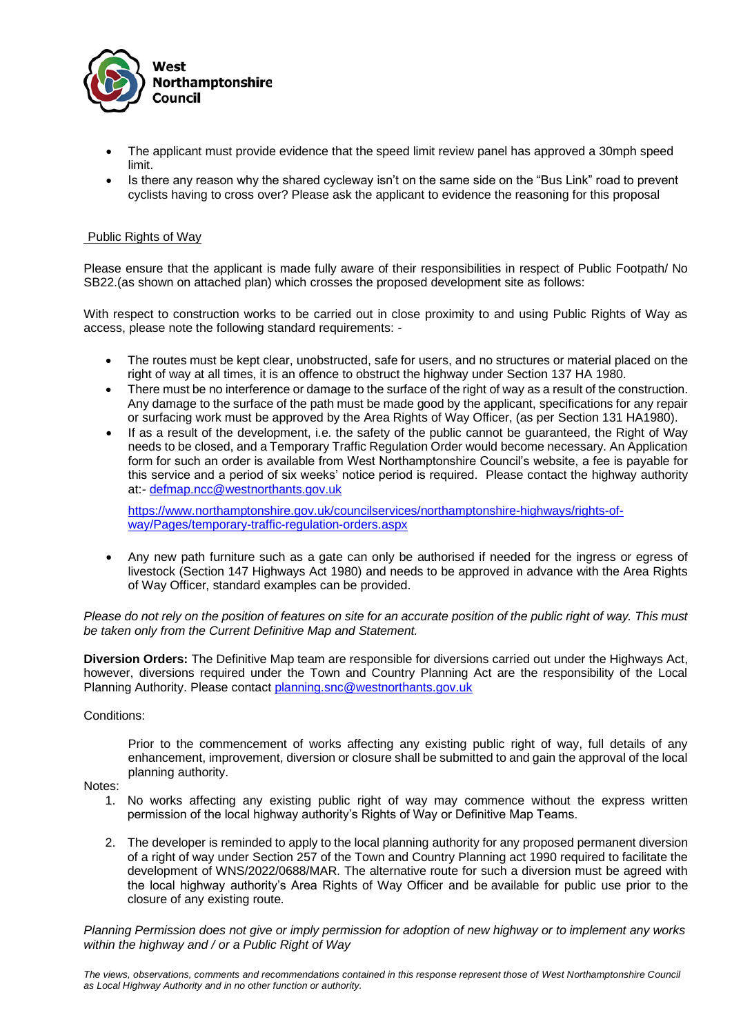

- The applicant must provide evidence that the speed limit review panel has approved a 30mph speed limit.
- Is there any reason why the shared cycleway isn't on the same side on the "Bus Link" road to prevent cyclists having to cross over? Please ask the applicant to evidence the reasoning for this proposal

## Public Rights of Way

Please ensure that the applicant is made fully aware of their responsibilities in respect of Public Footpath/ No SB22.(as shown on attached plan) which crosses the proposed development site as follows:

With respect to construction works to be carried out in close proximity to and using Public Rights of Way as access, please note the following standard requirements: -

- The routes must be kept clear, unobstructed, safe for users, and no structures or material placed on the right of way at all times, it is an offence to obstruct the highway under Section 137 HA 1980.
- There must be no interference or damage to the surface of the right of way as a result of the construction. Any damage to the surface of the path must be made good by the applicant, specifications for any repair or surfacing work must be approved by the Area Rights of Way Officer, (as per Section 131 HA1980).
- If as a result of the development, i.e. the safety of the public cannot be quaranteed, the Right of Way needs to be closed, and a Temporary Traffic Regulation Order would become necessary. An Application form for such an order is available from West Northamptonshire Council's website, a fee is payable for this service and a period of six weeks' notice period is required. Please contact the highway authority at:- [defmap.ncc@westnorthants.gov.uk](mailto:defmap.ncc@westnorthants.gov.uk)

[https://www.northamptonshire.gov.uk/councilservices/northamptonshire-highways/rights-of](https://www.northamptonshire.gov.uk/councilservices/northamptonshire-highways/rights-of-way/Pages/temporary-traffic-regulation-orders.aspx)[way/Pages/temporary-traffic-regulation-orders.aspx](https://www.northamptonshire.gov.uk/councilservices/northamptonshire-highways/rights-of-way/Pages/temporary-traffic-regulation-orders.aspx)

Any new path furniture such as a gate can only be authorised if needed for the ingress or egress of livestock (Section 147 Highways Act 1980) and needs to be approved in advance with the Area Rights of Way Officer, standard examples can be provided.

*Please do not rely on the position of features on site for an accurate position of the public right of way. This must be taken only from the Current Definitive Map and Statement.*

**Diversion Orders:** The Definitive Map team are responsible for diversions carried out under the Highways Act, however, diversions required under the Town and Country Planning Act are the responsibility of the Local Planning Authority. Please contact [planning.snc@westnorthants.gov.uk](mailto:planning.snc@westnorthants.gov.uk)

## Conditions:

Prior to the commencement of works affecting any existing public right of way, full details of any enhancement, improvement, diversion or closure shall be submitted to and gain the approval of the local planning authority.

## Notes:

- 1. No works affecting any existing public right of way may commence without the express written permission of the local highway authority's Rights of Way or Definitive Map Teams.
- 2. The developer is reminded to apply to the local planning authority for any proposed permanent diversion of a right of way under Section 257 of the Town and Country Planning act 1990 required to facilitate the development of WNS/2022/0688/MAR. The alternative route for such a diversion must be agreed with the local highway authority's Area Rights of Way Officer and be available for public use prior to the closure of any existing route.

*Planning Permission does not give or imply permission for adoption of new highway or to implement any works within the highway and / or a Public Right of Way*